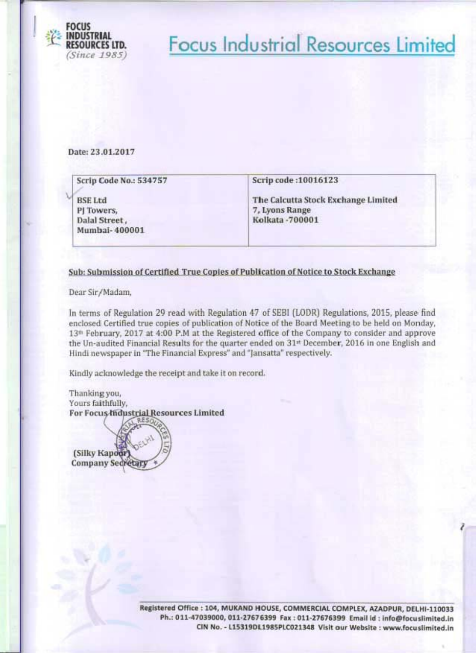

## **Focus Industrial Resources Limited**

Date: 23.01.2017

| Scrip Code No.: 534757                                         | Scrip code: 10016123                                                      |
|----------------------------------------------------------------|---------------------------------------------------------------------------|
| <b>BSE Ltd</b><br>PJ Towers,<br>Dalal Street,<br>Mumbai-400001 | The Calcutta Stock Exchange Limited<br>7, Lyons Range<br>Kolkata - 700001 |

#### Sub: Submission of Certified True Copies of Publication of Notice to Stock Exchange

Dear Sir/Madam,

In terms of Regulation 29 read with Regulation 47 of SEBI (LODR) Regulations, 2015, please find enclosed Certified true copies of publication of Notice of the Board Meeting to be held on Monday, 13<sup>th</sup> February, 2017 at 4:00 P.M at the Registered office of the Company to consider and approve the Un-audited Financial Results for the quarter ended on 31st December, 2016 in one English and Hindi newspaper in "The Financial Express" and "Jansatta" respectively.

Kindly acknowledge the receipt and take it on record.

Thanking you, Yours faithfully. For Focus Industrial Resources Limited

(Silky Kapoor Company Secretar

> Registered Office : 104, MUKAND HOUSE, COMMERCIAL COMPLEX, AZADPUR, DELHI-110033 Ph.: 011-47039000, 011-27676399 Fax: 011-27676399 Email id: info@focuslimited.in CIN No. - L15319DL1985PLC021348 Visit our Website : www.focuslimited.in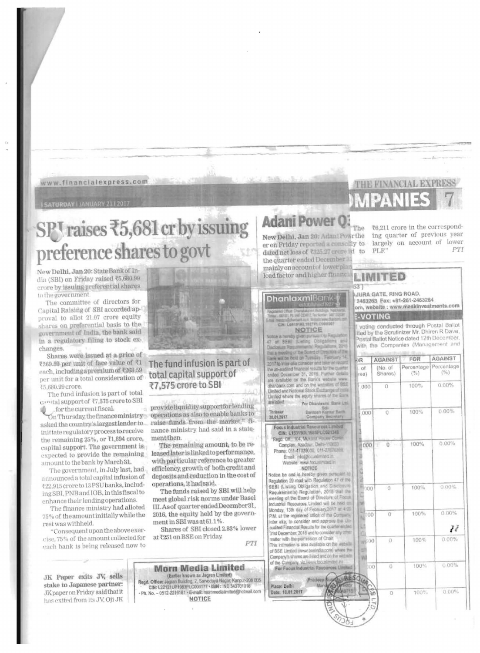www.financialexpress.com

**I SATURDAY | JANUARY 2112017** 

# SPT raises ₹5,681 cr by issuing preference shares to govt

New Delhi, Jan 20: State Bank of India (SBI) on Friday raised ₹5,680.99 crore by issuing preferential shares to the government

The committee of directors for Capital Raising of SBI accorded approval to allot 21.07 crore equity shares on preferential basis to the government of India, the bank said in a regulatory filing to stock exchanges.

Shares were issued at a price of ₹269.59 per unit of face value of ₹1 each, including a premium of ₹268.59 per unit for a total consideration of ₹5,680.99 crore.

The fund infusion is part of total canital support of ₹7,575 crore to SBI for the current fiscal.

asked the country's largest lender to\_ initiate regulatory process to receive the remaining 25%, or  $\bar{\mathfrak{e}}1,894$  crore, capital support. The government is expected to provide the remaining amount to the bank by March 31.

The government, in July last, had announced a total capital infusion of <22,915 crore to 13 PSU banks, including SBI, PNB and IOB, in this fiscal to enhance their lending operations.

The finance ministry had alloted 75% of the amount initially while the rest was withheld.

"Consequent upon the above exercise, 75% of the amount collected for each bank is being released now to

JK Paper exits JV, sells stake to Japanese partner: JK paper on Friday said that it has exited from its JV, Oji JK



#### The fund infusion is part of total capital support of ₹7.575 crore to SBI

provideliquidity supportfor lending On Thursday, the finance ministry operations as also to enable banks to raise funds from the market," finance ministry had said in a statement then.

> The remaining amount, to be released later is linked to performance. with particular reference to greater efficiency, growth of both credit and deposits and reduction in the cost of operations, it had said.

The funds raised by SBI will help meet global risk norms under Basel III. As of quarter ended December 31, 2016, the equity held by the government in SBI was at 61.1%.

Shares of SBI closed 2.83% lower at ₹251 on BSE on Friday.

 $PT$ 

#### Morn Media Limited (Earlier known as Jagren Limited)<br>Regd. Office: Jagran Building. 2, Sarvodaya Nagar, Karipur-208 005<br>CIN: L22121UP1983PLC006177 + ISIN : INE 343T01016 - Ph. No. - 0512-2216161 - E-mail: mornmedialimited@hotmail.com NOTICE

### **Adani Power 0**

New Delhi, Jan 20: Adani Powrthe er on Friday reported a consolly to dated net loss of ₹325.27 crore iii to the quarter ended December mainly on account of lower plan

load factor and higher financia

#### **Dhanlaxmi**Ban

NOTICE

Notice is hereby given pursuant to **Transformation Resourcement** that a meeding of will be held on Tuesday 2017 to infer-alia consider and take the un-audited financial results for the coart ended December 31, 2016. Further are available on the Bank's website was Limited and National Stock Excitange of Limited where the equity shares of the B. are lished For Dhaniasmi, Bank Ltd

Santosh K *Barry* 20.01.2017 Focus Industrial Revources Limited CIN: L15319DL1986PLC021348

Regd. Off.: 104, Mukand Hopey Cor Complex, Azadpur, Delhi-110000 Phone: 011-47039000, 011-27676399 Email: info@focusim tod.in Website: www.focustamated.in

NOTICE

Notice be and is hereby given pursuant to Regulation 29 read with Regulation 47 of the SEBI (Listing Obligation and Disclosure Requirements) Regulation, 2015 that an meeting of the Board of Directors of Focus Industrial Resources Limited will be held a Monday, 13th day of February 2017 at 4:00 P.M. at the registered office of the Corp. inter alia, to consider and approve the Un audited Financial Results for the quarter and 31st December, 2016 and to consider any conatter with the permission of Chair This intimation is also available on the webof BSE Limited (www.beeindia.com) where the Company's shares are listed and on the water

of the Company, viz. www.foo.almind.in<br>For Focus Industrial Resources Li

Place: Delhi

Date: 18.01.2017

₹6,211 crore in the corresponding quarter of previous year largely on account of lower pTI PLF'

**THE FINANCIAL EXPRES** 

### LIMITED

The

**JURA GATE, RING ROAD,** 

2463263 Fax: +91-261-2463264 om, website : www.maskinvestments.com **E-VOTING** 

voting conducted through Postal Ballot led by the Scrutinizer Mr. Dhiren R Dave, lostal Ballot Notice dated 12th December, with the Companies (Management and

| ĐR                       | <b>AGAINST</b>     | FOR                  | AGAINST           |
|--------------------------|--------------------|----------------------|-------------------|
| . of<br>(0.3)            | (No. of<br>Shares) | Percentage<br>$($ %) | Percentage<br>(%) |
| 000 <sub>1</sub>         | $\overline{0}$     | 100%                 | $0.00\%$          |
| .000                     | Ü.                 | 100%                 | 0.00%             |
| 000                      | 0<br>w<br>W.<br>b. | 100%<br>ï<br>Ŀ       | $0.00\%$          |
| <b>ERED NORTH</b>        | $^{\circ}$         | 100%<br>î.           | $0.00\%$          |
| $\sqrt{100}$<br>ü<br>in. | Ö                  | 100%                 | 0.00%<br>H        |
| 늰<br>w                   | $\sigma$           | 100%                 | 0.00%             |
| 000<br>360               | Ü                  | 100%                 | $0.00\%$          |
|                          | 50<br>O            | 100%                 | $0.00\%$<br>l.    |